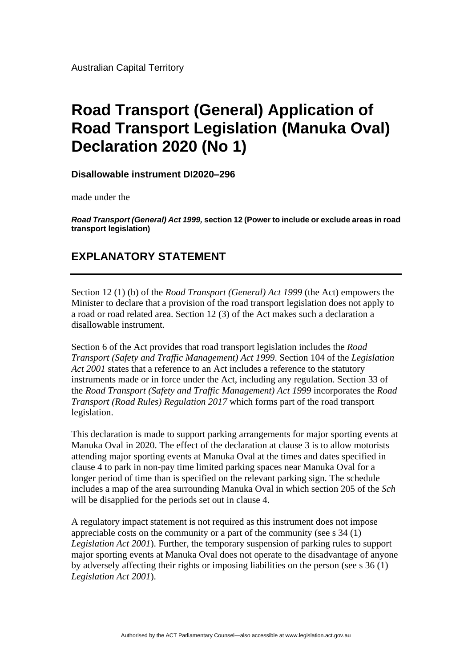Australian Capital Territory

## **Road Transport (General) Application of Road Transport Legislation (Manuka Oval) Declaration 2020 (No 1)**

**Disallowable instrument DI2020–296**

made under the

*Road Transport (General) Act 1999,* **section 12 (Power to include or exclude areas in road transport legislation)**

## **EXPLANATORY STATEMENT**

Section 12 (1) (b) of the *Road Transport (General) Act 1999* (the Act) empowers the Minister to declare that a provision of the road transport legislation does not apply to a road or road related area. Section 12 (3) of the Act makes such a declaration a disallowable instrument.

Section 6 of the Act provides that road transport legislation includes the *Road Transport (Safety and Traffic Management) Act 1999*. Section 104 of the *Legislation Act 2001* states that a reference to an Act includes a reference to the statutory instruments made or in force under the Act, including any regulation. Section 33 of the *Road Transport (Safety and Traffic Management) Act 1999* incorporates the *Road Transport (Road Rules) Regulation 2017* which forms part of the road transport legislation.

This declaration is made to support parking arrangements for major sporting events at Manuka Oval in 2020. The effect of the declaration at clause 3 is to allow motorists attending major sporting events at Manuka Oval at the times and dates specified in clause 4 to park in non-pay time limited parking spaces near Manuka Oval for a longer period of time than is specified on the relevant parking sign. The schedule includes a map of the area surrounding Manuka Oval in which section 205 of the *Sch* will be disapplied for the periods set out in clause 4.

A regulatory impact statement is not required as this instrument does not impose appreciable costs on the community or a part of the community (see s 34 (1) *Legislation Act 2001*). Further, the temporary suspension of parking rules to support major sporting events at Manuka Oval does not operate to the disadvantage of anyone by adversely affecting their rights or imposing liabilities on the person (see s 36 (1) *Legislation Act 2001*).